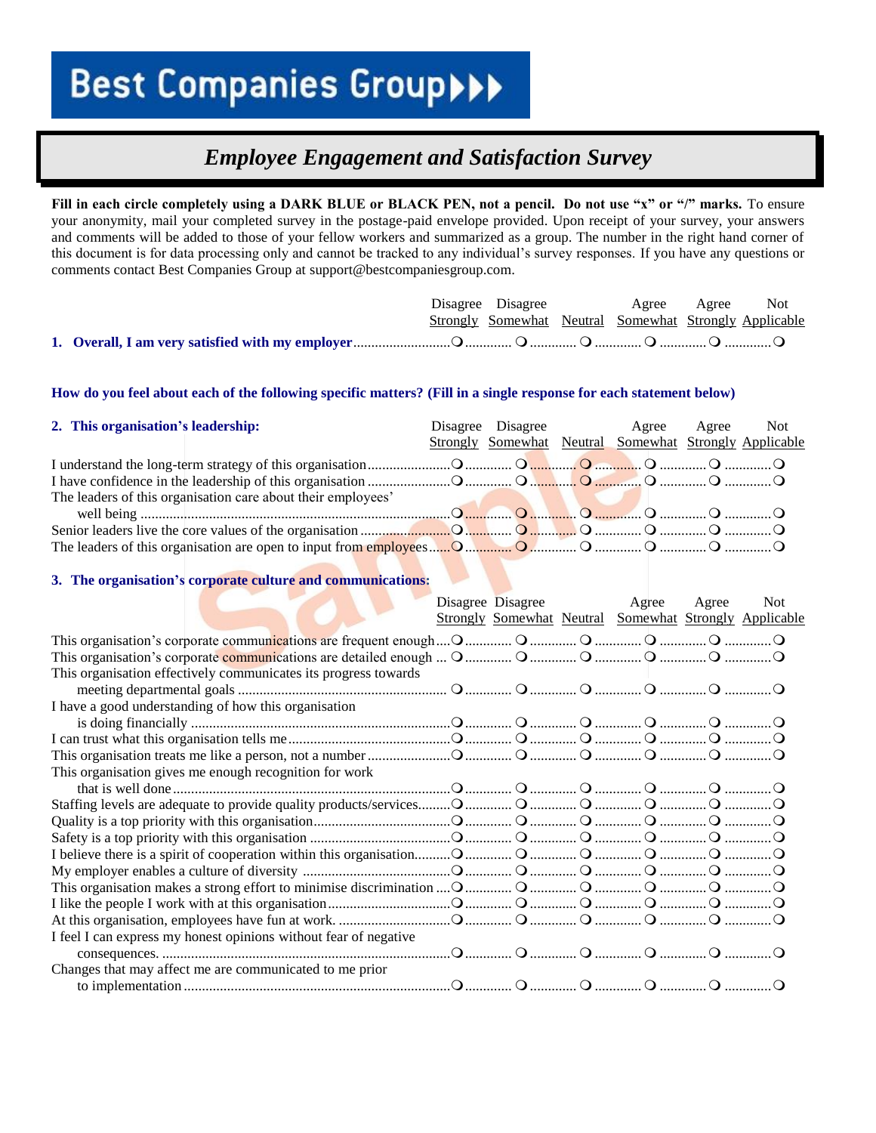### *Employee Engagement and Satisfaction Survey*

**Fill in each circle completely using a DARK BLUE or BLACK PEN, not a pencil. Do not use "x" or "/" marks.** To ensure your anonymity, mail your completed survey in the postage-paid envelope provided. Upon receipt of your survey, your answers and comments will be added to those of your fellow workers and summarized as a group. The number in the right hand corner of this document is for data processing only and cannot be tracked to any individual's survey responses. If you have any questions or comments contact Best Companies Group at support@bestcompaniesgroup.com.

|  |  | Disagree Disagree Agree                                | Agree | Not |
|--|--|--------------------------------------------------------|-------|-----|
|  |  | Strongly Somewhat Neutral Somewhat Strongly Applicable |       |     |
|  |  |                                                        |       |     |

#### **How do you feel about each of the following specific matters? (Fill in a single response for each statement below)**

| 2. This organisation's leadership:                           |  | Disagree Disagree Agree<br>Strongly Somewhat Neutral Somewhat Strongly Applicable | Agree Not |
|--------------------------------------------------------------|--|-----------------------------------------------------------------------------------|-----------|
|                                                              |  |                                                                                   |           |
|                                                              |  |                                                                                   |           |
| The leaders of this organisation care about their employees' |  |                                                                                   |           |
|                                                              |  |                                                                                   |           |
|                                                              |  |                                                                                   |           |
|                                                              |  |                                                                                   |           |

#### **3. The organisation's corporate culture and communications:**

|                                                                  | Disagree Disagree | Agree                                                  | Agree | <b>Not</b> |
|------------------------------------------------------------------|-------------------|--------------------------------------------------------|-------|------------|
|                                                                  |                   | Strongly Somewhat Neutral Somewhat Strongly Applicable |       |            |
|                                                                  |                   |                                                        |       |            |
|                                                                  |                   |                                                        |       |            |
| This organisation effectively communicates its progress towards  |                   |                                                        |       |            |
|                                                                  |                   |                                                        |       |            |
| I have a good understanding of how this organisation             |                   |                                                        |       |            |
|                                                                  |                   |                                                        |       |            |
|                                                                  |                   |                                                        |       |            |
|                                                                  |                   |                                                        |       |            |
| This organisation gives me enough recognition for work           |                   |                                                        |       |            |
|                                                                  |                   |                                                        |       |            |
|                                                                  |                   |                                                        |       |            |
|                                                                  |                   |                                                        |       |            |
|                                                                  |                   |                                                        |       |            |
|                                                                  |                   |                                                        |       |            |
|                                                                  |                   |                                                        |       |            |
|                                                                  |                   |                                                        |       |            |
|                                                                  |                   |                                                        |       |            |
|                                                                  |                   |                                                        |       |            |
| I feel I can express my honest opinions without fear of negative |                   |                                                        |       |            |
|                                                                  |                   |                                                        |       |            |
| Changes that may affect me are communicated to me prior          |                   |                                                        |       |            |
|                                                                  |                   |                                                        |       |            |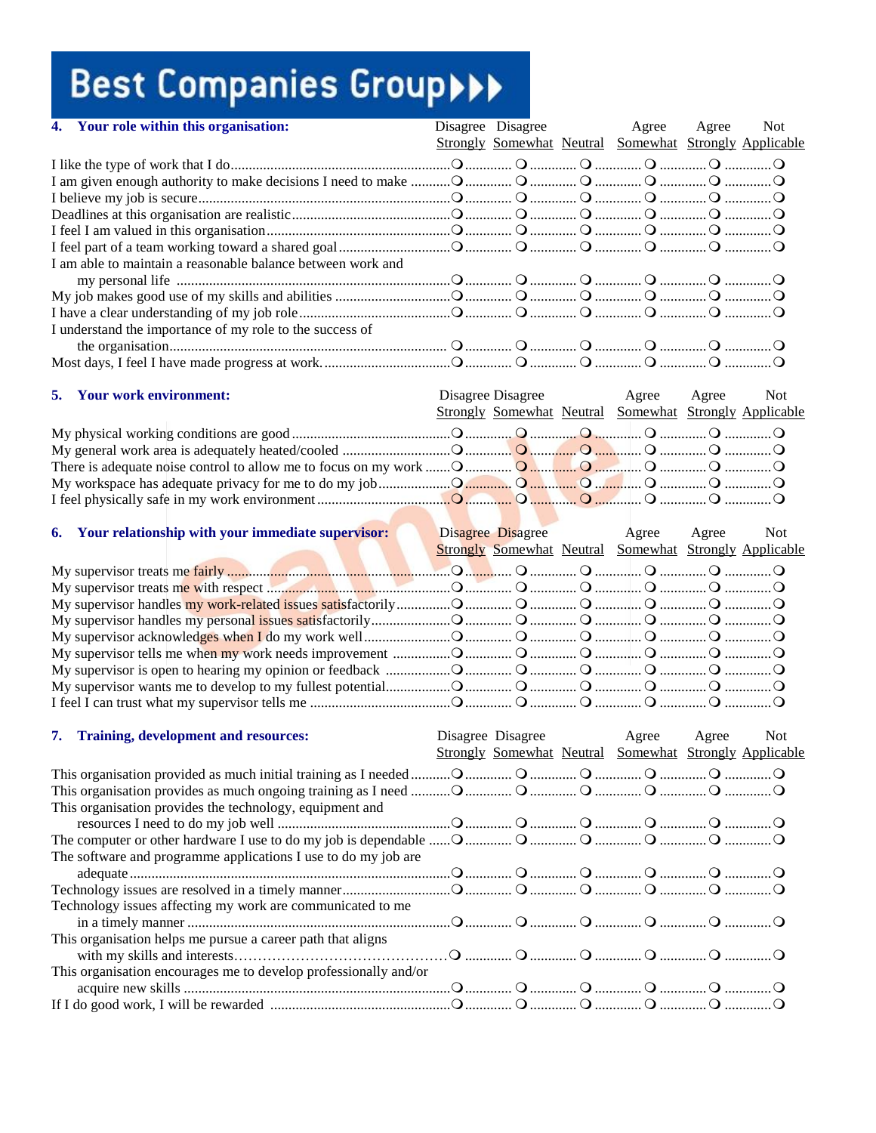| Your role within this organisation:                                                                      | Disagree Disagree | Agree                                                  | Agree | <b>Not</b> |
|----------------------------------------------------------------------------------------------------------|-------------------|--------------------------------------------------------|-------|------------|
|                                                                                                          |                   | Strongly Somewhat Neutral Somewhat Strongly Applicable |       |            |
|                                                                                                          |                   |                                                        |       |            |
|                                                                                                          |                   |                                                        |       |            |
| O                                                                                                        |                   |                                                        |       |            |
|                                                                                                          |                   |                                                        |       |            |
|                                                                                                          |                   |                                                        |       |            |
|                                                                                                          |                   |                                                        |       |            |
| I am able to maintain a reasonable balance between work and                                              |                   |                                                        |       |            |
|                                                                                                          |                   |                                                        |       |            |
|                                                                                                          |                   |                                                        |       |            |
|                                                                                                          |                   |                                                        |       |            |
| I understand the importance of my role to the success of                                                 |                   |                                                        |       |            |
|                                                                                                          |                   |                                                        |       |            |
|                                                                                                          |                   |                                                        |       |            |
|                                                                                                          |                   |                                                        |       |            |
| Your work environment:<br>5.                                                                             | Disagree Disagree | Agree Agree                                            |       | Not        |
|                                                                                                          |                   | Strongly Somewhat Neutral Somewhat Strongly Applicable |       |            |
|                                                                                                          |                   |                                                        |       |            |
|                                                                                                          |                   |                                                        |       |            |
|                                                                                                          |                   |                                                        |       |            |
| O metal is adequate noise control to allow me to focus on my work  O metal of the manufacture of metal o |                   |                                                        |       |            |
|                                                                                                          |                   |                                                        |       |            |
|                                                                                                          |                   |                                                        |       |            |
|                                                                                                          |                   |                                                        |       |            |
| 6. Your relationship with your immediate supervisor: Disagree Disagree                                   |                   | Agree Agree                                            |       | Not        |
|                                                                                                          |                   | Strongly Somewhat Neutral Somewhat Strongly Applicable |       |            |
|                                                                                                          |                   |                                                        |       |            |
|                                                                                                          |                   |                                                        |       |            |
|                                                                                                          |                   |                                                        |       |            |
|                                                                                                          |                   |                                                        |       |            |
|                                                                                                          |                   |                                                        |       |            |
|                                                                                                          |                   |                                                        |       |            |
|                                                                                                          |                   |                                                        |       |            |
|                                                                                                          |                   |                                                        |       |            |
|                                                                                                          |                   |                                                        |       |            |
|                                                                                                          |                   |                                                        |       |            |
| 7. Training, development and resources:                                                                  |                   | Disagree Disagree Agree                                | Agree | <b>Not</b> |
|                                                                                                          |                   | Strongly Somewhat Neutral Somewhat Strongly Applicable |       |            |
|                                                                                                          |                   |                                                        |       |            |
|                                                                                                          |                   |                                                        |       |            |
|                                                                                                          |                   |                                                        |       |            |
| This organisation provides the technology, equipment and                                                 |                   |                                                        |       |            |
|                                                                                                          |                   |                                                        |       |            |
|                                                                                                          |                   |                                                        |       |            |
|                                                                                                          |                   |                                                        |       |            |
| The software and programme applications I use to do my job are                                           |                   |                                                        |       |            |
|                                                                                                          |                   |                                                        |       |            |
|                                                                                                          |                   |                                                        |       |            |
| Technology issues affecting my work are communicated to me                                               |                   |                                                        |       |            |
|                                                                                                          |                   |                                                        |       |            |
| This organisation helps me pursue a career path that aligns                                              |                   |                                                        |       |            |
|                                                                                                          |                   |                                                        |       |            |
| This organisation encourages me to develop professionally and/or                                         |                   |                                                        |       |            |
|                                                                                                          |                   |                                                        |       |            |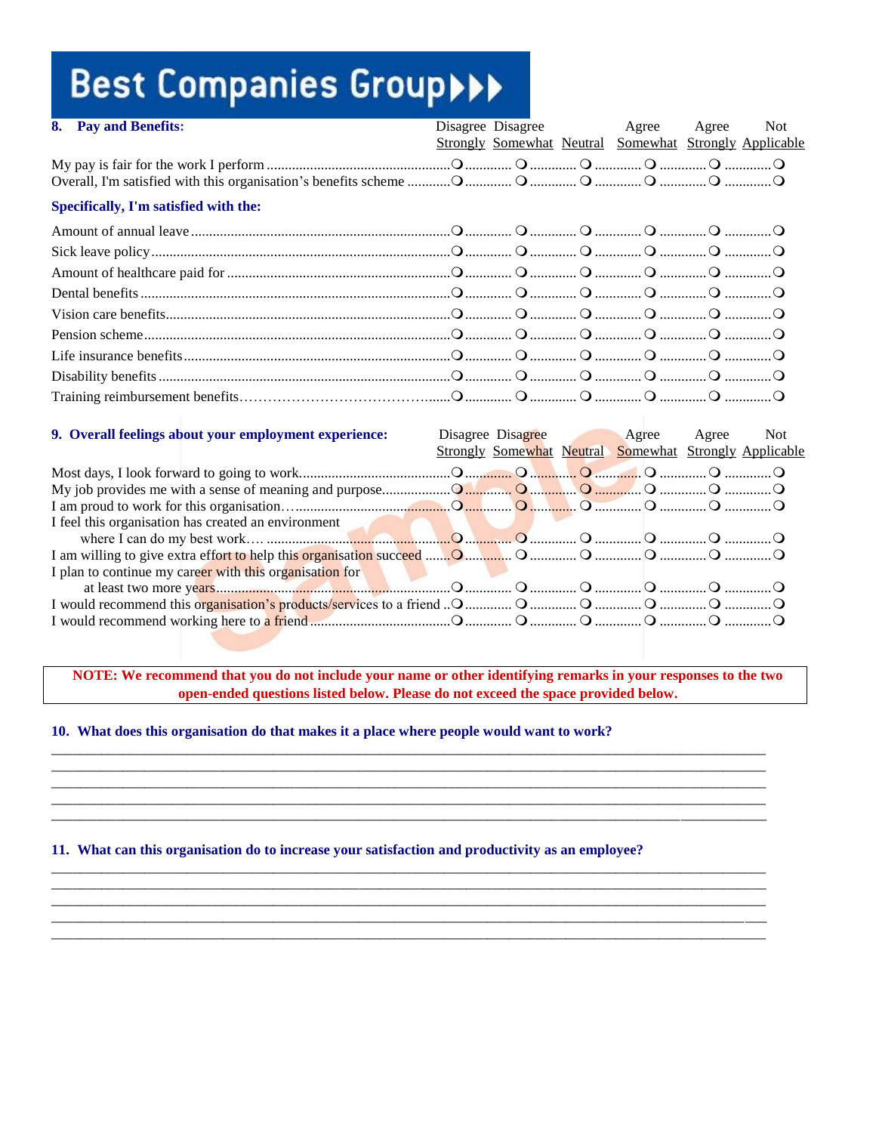| <b>Pay and Benefits:</b><br>8.                        | Disagree Disagree | Agree<br>Strongly Somewhat Neutral Somewhat Strongly Applicable                   | Agree | <b>Not</b> |
|-------------------------------------------------------|-------------------|-----------------------------------------------------------------------------------|-------|------------|
|                                                       |                   |                                                                                   |       |            |
| Specifically, I'm satisfied with the:                 |                   |                                                                                   |       |            |
|                                                       |                   |                                                                                   |       |            |
|                                                       |                   |                                                                                   |       |            |
|                                                       |                   |                                                                                   |       |            |
|                                                       |                   |                                                                                   |       |            |
|                                                       |                   |                                                                                   |       |            |
|                                                       |                   |                                                                                   |       |            |
|                                                       |                   |                                                                                   |       |            |
|                                                       |                   |                                                                                   |       |            |
|                                                       |                   |                                                                                   |       |            |
| 9. Overall feelings about your employment experience: |                   | Disagree Disagree Agree<br>Strongly Somewhat Neutral Somewhat Strongly Applicable | Agree | Not        |
|                                                       |                   |                                                                                   |       |            |

|  |  | $\mu$ . The set of the set of the set of the set of the set of the set of the set of the set of the set of $\alpha$ is a set of $\alpha$ in $\alpha$ .<br>I would recommend working here to a friend $\ldots$ $\ldots$ $\ldots$ $\ldots$ $\ldots$ $\ldots$ $\ldots$ $\ldots$ $\ldots$ $\ldots$ $\ldots$ $\ldots$ $\ldots$ $\ldots$ $\ldots$ |
|--|--|---------------------------------------------------------------------------------------------------------------------------------------------------------------------------------------------------------------------------------------------------------------------------------------------------------------------------------------------|

NOTE: We recommend that you do not include your name or other identifying remarks in your responses to the two open-ended questions listed below. Please do not exceed the space provided below.

10. What does this organisation do that makes it a place where people would want to work?

11. What can this organisation do to increase your satisfaction and productivity as an employee?